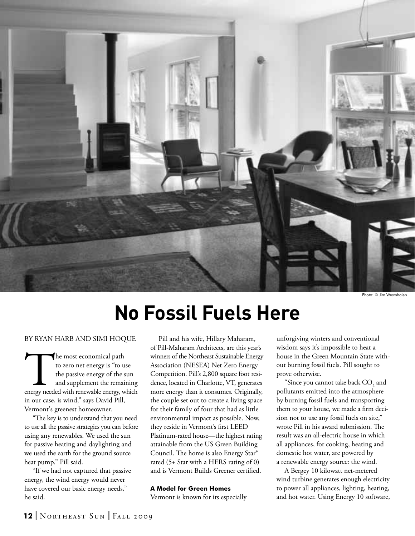

Photo: © Jim Westphale

# **No Fossil Fuels Here**

By Ryan Harb and Simi Hoque

The most economical path<br>
to zero net energy is "to use<br>
the passive energy of the sun<br>
and supplement the remaining<br>
energy needed with renewable energy, which to zero net energy is "to use the passive energy of the sun and supplement the remaining in our case, is wind," says David Pill, Vermont's greenest homeowner.

 "The key is to understand that you need to use all the passive strategies you can before using any renewables. We used the sun for passive heating and daylighting and we used the earth for the ground source heat pump." Pill said.

 "If we had not captured that passive energy, the wind energy would never have covered our basic energy needs," he said.

 Pill and his wife, Hillary Maharam, of Pill-Maharam Architects, are this year's winners of the Northeast Sustainable Energy Association (NESEA) Net Zero Energy Competition. Pill's 2,800 square foot residence, located in Charlotte, VT, generates more energy than it consumes. Originally, the couple set out to create a living space for their family of four that had as little environmental impact as possible. Now, they reside in Vermont's first LEED Platinum-rated house—the highest rating attainable from the US Green Building Council. The home is also Energy Star® rated (5+ Star with a HERS rating of 0) and is Vermont Builds Greener certified.

## **A Model for Green Homes**

Vermont is known for its especially

unforgiving winters and conventional wisdom says it's impossible to heat a house in the Green Mountain State without burning fossil fuels. Pill sought to prove otherwise.

"Since you cannot take back  $\mathrm{CO}_\mathrm{2}$  and pollutants emitted into the atmosphere by burning fossil fuels and transporting them to your house, we made a firm decision not to use any fossil fuels on site," wrote Pill in his award submission. The result was an all-electric house in which all appliances, for cooking, heating and domestic hot water, are powered by a renewable energy source: the wind.

 A Bergey 10 kilowatt net-metered wind turbine generates enough electricity to power all appliances, lighting, heating, and hot water. Using Energy 10 software,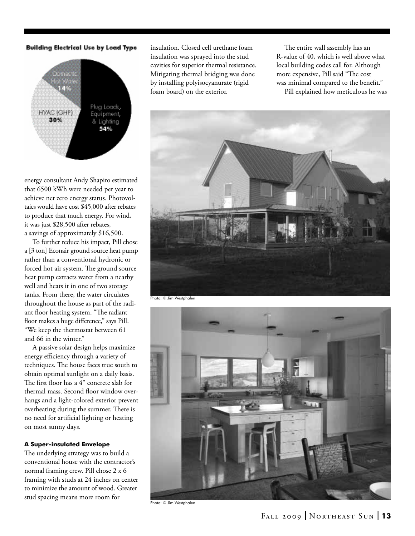## Building Electrical Use by Load Type



energy consultant Andy Shapiro estimated that 6500 kWh were needed per year to achieve net zero energy status. Photovoltaics would have cost \$45,000 after rebates to produce that much energy. For wind, it was just \$28,500 after rebates, a savings of approximately \$16,500.

 To further reduce his impact, Pill chose a [3 ton] Econair ground source heat pump rather than a conventional hydronic or forced hot air system. The ground source heat pump extracts water from a nearby well and heats it in one of two storage tanks. From there, the water circulates throughout the house as part of the radiant floor heating system. "The radiant floor makes a huge difference," says Pill. "We keep the thermostat between 61 and 66 in the winter."

 A passive solar design helps maximize energy efficiency through a variety of techniques. The house faces true south to obtain optimal sunlight on a daily basis. The first floor has a 4" concrete slab for thermal mass. Second floor window overhangs and a light-colored exterior prevent overheating during the summer. There is no need for artificial lighting or heating on most sunny days.

## **A Super-insulated Envelope**

The underlying strategy was to build a conventional house with the contractor's normal framing crew. Pill chose 2 x 6 framing with studs at 24 inches on center to minimize the amount of wood. Greater stud spacing means more room for

insulation. Closed cell urethane foam insulation was sprayed into the stud cavities for superior thermal resistance. Mitigating thermal bridging was done by installing polyisocyanurate (rigid foam board) on the exterior.

 The entire wall assembly has an R-value of 40, which is well above what local building codes call for. Although more expensive, Pill said "The cost was minimal compared to the benefit." Pill explained how meticulous he was





Photo: © Jim Westphalen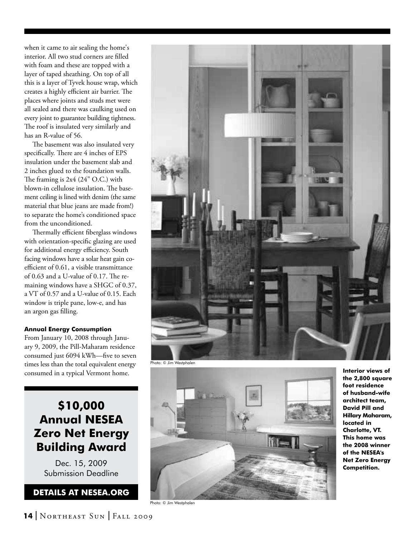when it came to air sealing the home's interior. All two stud corners are filled with foam and these are topped with a layer of taped sheathing. On top of all this is a layer of Tyvek house wrap, which creates a highly efficient air barrier. The places where joints and studs met were all sealed and there was caulking used on every joint to guarantee building tightness. The roof is insulated very similarly and has an R-value of 56.

 The basement was also insulated very specifically. There are 4 inches of EPS insulation under the basement slab and 2 inches glued to the foundation walls. The framing is 2x4 (24" O.C.) with blown-in cellulose insulation. The base ment ceiling is lined with denim (the same material that blue jeans are made from!) to separate the home's conditioned space from the unconditioned.

 Thermally efficient fiberglass windows with orientation-specific glazing are used for additional energy efficiency. South facing windows have a solar heat gain coefficient of 0.61, a visible transmittance of 0.63 and a U-value of 0.17. The re maining windows have a SHGC of 0.37, a VT of 0.57 and a U-value of 0.15. Each window is triple pane, low-e, and has an argon gas filling.

## **Annual Energy Consumption**

From January 10, 2008 through January 9, 2009, the Pill-Maharam residence consumed just 6094 kWh—five to seven times less than the total equivalent energy consumed in a typical Vermont home.

## **\$10,000 Annual NESEA Zero Net Energy Building Award**

Dec. 15, 2009 Submission Deadline

## **betails at nesea.org**



Photo: © Jim Westphalen



Photo: © Jim Westphalen